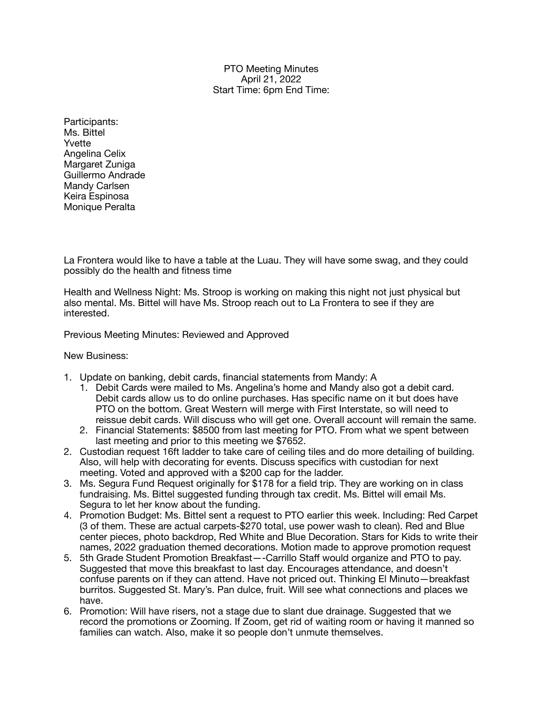PTO Meeting Minutes April 21, 2022 Start Time: 6pm End Time:

Participants: Ms. Bittel Yvette Angelina Celix Margaret Zuniga Guillermo Andrade Mandy Carlsen Keira Espinosa Monique Peralta

La Frontera would like to have a table at the Luau. They will have some swag, and they could possibly do the health and fitness time

Health and Wellness Night: Ms. Stroop is working on making this night not just physical but also mental. Ms. Bittel will have Ms. Stroop reach out to La Frontera to see if they are interested.

Previous Meeting Minutes: Reviewed and Approved

New Business:

- 1. Update on banking, debit cards, financial statements from Mandy: A
	- 1. Debit Cards were mailed to Ms. Angelina's home and Mandy also got a debit card. Debit cards allow us to do online purchases. Has specific name on it but does have PTO on the bottom. Great Western will merge with First Interstate, so will need to reissue debit cards. Will discuss who will get one. Overall account will remain the same.
	- 2. Financial Statements: \$8500 from last meeting for PTO. From what we spent between last meeting and prior to this meeting we \$7652.
- 2. Custodian request 16ft ladder to take care of ceiling tiles and do more detailing of building. Also, will help with decorating for events. Discuss specifics with custodian for next meeting. Voted and approved with a \$200 cap for the ladder.
- 3. Ms. Segura Fund Request originally for \$178 for a field trip. They are working on in class fundraising. Ms. Bittel suggested funding through tax credit. Ms. Bittel will email Ms. Segura to let her know about the funding.
- 4. Promotion Budget: Ms. Bittel sent a request to PTO earlier this week. Including: Red Carpet (3 of them. These are actual carpets-\$270 total, use power wash to clean). Red and Blue center pieces, photo backdrop, Red White and Blue Decoration. Stars for Kids to write their names, 2022 graduation themed decorations. Motion made to approve promotion request
- 5. 5th Grade Student Promotion Breakfast—-Carrillo Staff would organize and PTO to pay. Suggested that move this breakfast to last day. Encourages attendance, and doesn't confuse parents on if they can attend. Have not priced out. Thinking El Minuto—breakfast burritos. Suggested St. Mary's. Pan dulce, fruit. Will see what connections and places we have.
- 6. Promotion: Will have risers, not a stage due to slant due drainage. Suggested that we record the promotions or Zooming. If Zoom, get rid of waiting room or having it manned so families can watch. Also, make it so people don't unmute themselves.